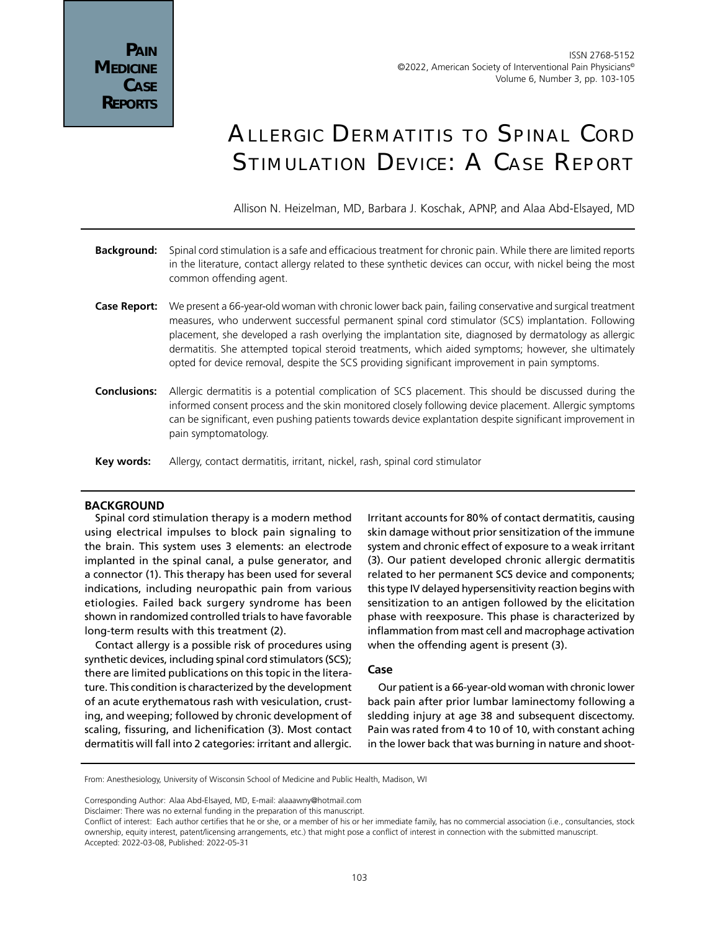# Allergic Dermatitis to Spinal Cord Stimulation Device: A Case Report

Allison N. Heizelman, MD, Barbara J. Koschak, APNP, and Alaa Abd-Elsayed, MD

- **Background:** Spinal cord stimulation is a safe and efficacious treatment for chronic pain. While there are limited reports in the literature, contact allergy related to these synthetic devices can occur, with nickel being the most common offending agent.
- **Case Report:** We present a 66-year-old woman with chronic lower back pain, failing conservative and surgical treatment measures, who underwent successful permanent spinal cord stimulator (SCS) implantation. Following placement, she developed a rash overlying the implantation site, diagnosed by dermatology as allergic dermatitis. She attempted topical steroid treatments, which aided symptoms; however, she ultimately opted for device removal, despite the SCS providing significant improvement in pain symptoms.
- **Conclusions:** Allergic dermatitis is a potential complication of SCS placement. This should be discussed during the informed consent process and the skin monitored closely following device placement. Allergic symptoms can be significant, even pushing patients towards device explantation despite significant improvement in pain symptomatology.
- **Key words:** Allergy, contact dermatitis, irritant, nickel, rash, spinal cord stimulator

## **BACKGROUND**

Spinal cord stimulation therapy is a modern method using electrical impulses to block pain signaling to the brain. This system uses 3 elements: an electrode implanted in the spinal canal, a pulse generator, and a connector (1). This therapy has been used for several indications, including neuropathic pain from various etiologies. Failed back surgery syndrome has been shown in randomized controlled trials to have favorable long-term results with this treatment (2).

Contact allergy is a possible risk of procedures using synthetic devices, including spinal cord stimulators (SCS); there are limited publications on this topic in the literature. This condition is characterized by the development of an acute erythematous rash with vesiculation, crusting, and weeping; followed by chronic development of scaling, fissuring, and lichenification (3). Most contact dermatitis will fall into 2 categories: irritant and allergic.

Irritant accounts for 80% of contact dermatitis, causing skin damage without prior sensitization of the immune system and chronic effect of exposure to a weak irritant (3). Our patient developed chronic allergic dermatitis related to her permanent SCS device and components; this type IV delayed hypersensitivity reaction begins with sensitization to an antigen followed by the elicitation phase with reexposure. This phase is characterized by inflammation from mast cell and macrophage activation when the offending agent is present (3).

## **Case**

Our patient is a 66-year-old woman with chronic lower back pain after prior lumbar laminectomy following a sledding injury at age 38 and subsequent discectomy. Pain was rated from 4 to 10 of 10, with constant aching in the lower back that was burning in nature and shoot-

From: Anesthesiology, University of Wisconsin School of Medicine and Public Health, Madison, WI

Corresponding Author: Alaa Abd-Elsayed, MD, E-mail: alaaawny@hotmail.com

Disclaimer: There was no external funding in the preparation of this manuscript.

Conflict of interest: Each author certifies that he or she, or a member of his or her immediate family, has no commercial association (i.e., consultancies, stock ownership, equity interest, patent/licensing arrangements, etc.) that might pose a conflict of interest in connection with the submitted manuscript. Accepted: 2022-03-08, Published: 2022-05-31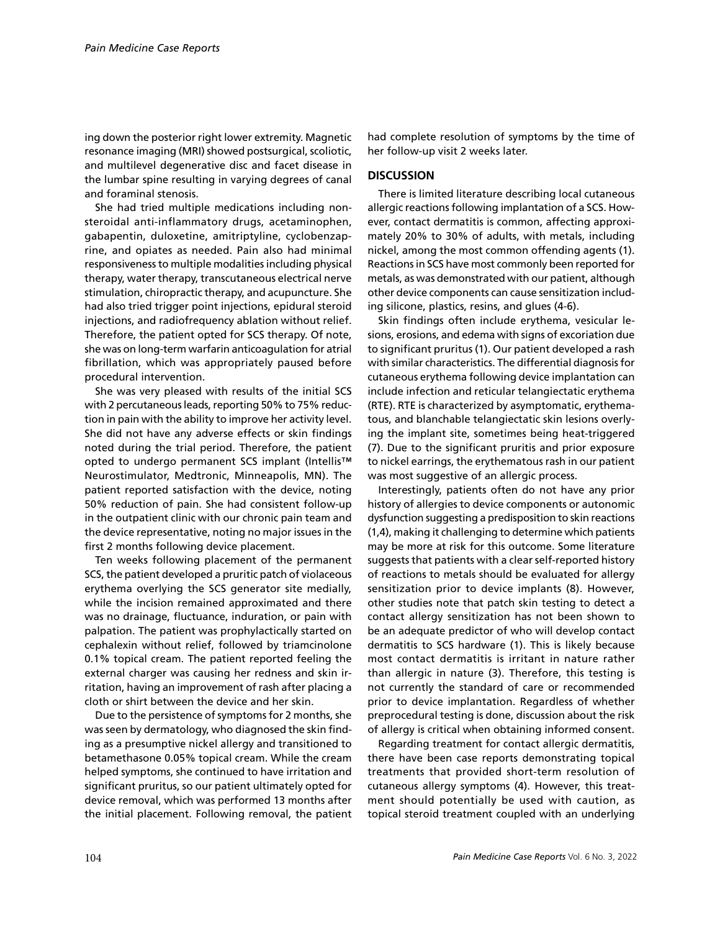ing down the posterior right lower extremity. Magnetic resonance imaging (MRI) showed postsurgical, scoliotic, and multilevel degenerative disc and facet disease in the lumbar spine resulting in varying degrees of canal and foraminal stenosis.

She had tried multiple medications including nonsteroidal anti-inflammatory drugs, acetaminophen, gabapentin, duloxetine, amitriptyline, cyclobenzaprine, and opiates as needed. Pain also had minimal responsiveness to multiple modalities including physical therapy, water therapy, transcutaneous electrical nerve stimulation, chiropractic therapy, and acupuncture. She had also tried trigger point injections, epidural steroid injections, and radiofrequency ablation without relief. Therefore, the patient opted for SCS therapy. Of note, she was on long-term warfarin anticoagulation for atrial fibrillation, which was appropriately paused before procedural intervention.

She was very pleased with results of the initial SCS with 2 percutaneous leads, reporting 50% to 75% reduction in pain with the ability to improve her activity level. She did not have any adverse effects or skin findings noted during the trial period. Therefore, the patient opted to undergo permanent SCS implant (Intellis™ Neurostimulator, Medtronic, Minneapolis, MN). The patient reported satisfaction with the device, noting 50% reduction of pain. She had consistent follow-up in the outpatient clinic with our chronic pain team and the device representative, noting no major issues in the first 2 months following device placement.

Ten weeks following placement of the permanent SCS, the patient developed a pruritic patch of violaceous erythema overlying the SCS generator site medially, while the incision remained approximated and there was no drainage, fluctuance, induration, or pain with palpation. The patient was prophylactically started on cephalexin without relief, followed by triamcinolone 0.1% topical cream. The patient reported feeling the external charger was causing her redness and skin irritation, having an improvement of rash after placing a cloth or shirt between the device and her skin.

Due to the persistence of symptoms for 2 months, she was seen by dermatology, who diagnosed the skin finding as a presumptive nickel allergy and transitioned to betamethasone 0.05% topical cream. While the cream helped symptoms, she continued to have irritation and significant pruritus, so our patient ultimately opted for device removal, which was performed 13 months after the initial placement. Following removal, the patient had complete resolution of symptoms by the time of her follow-up visit 2 weeks later.

## **DISCUSSION**

There is limited literature describing local cutaneous allergic reactions following implantation of a SCS. However, contact dermatitis is common, affecting approximately 20% to 30% of adults, with metals, including nickel, among the most common offending agents (1). Reactions in SCS have most commonly been reported for metals, as was demonstrated with our patient, although other device components can cause sensitization including silicone, plastics, resins, and glues (4-6).

Skin findings often include erythema, vesicular lesions, erosions, and edema with signs of excoriation due to significant pruritus (1). Our patient developed a rash with similar characteristics. The differential diagnosis for cutaneous erythema following device implantation can include infection and reticular telangiectatic erythema (RTE). RTE is characterized by asymptomatic, erythematous, and blanchable telangiectatic skin lesions overlying the implant site, sometimes being heat-triggered (7). Due to the significant pruritis and prior exposure to nickel earrings, the erythematous rash in our patient was most suggestive of an allergic process.

Interestingly, patients often do not have any prior history of allergies to device components or autonomic dysfunction suggesting a predisposition to skin reactions (1,4), making it challenging to determine which patients may be more at risk for this outcome. Some literature suggests that patients with a clear self-reported history of reactions to metals should be evaluated for allergy sensitization prior to device implants (8). However, other studies note that patch skin testing to detect a contact allergy sensitization has not been shown to be an adequate predictor of who will develop contact dermatitis to SCS hardware (1). This is likely because most contact dermatitis is irritant in nature rather than allergic in nature (3). Therefore, this testing is not currently the standard of care or recommended prior to device implantation. Regardless of whether preprocedural testing is done, discussion about the risk of allergy is critical when obtaining informed consent.

Regarding treatment for contact allergic dermatitis, there have been case reports demonstrating topical treatments that provided short-term resolution of cutaneous allergy symptoms (4). However, this treatment should potentially be used with caution, as topical steroid treatment coupled with an underlying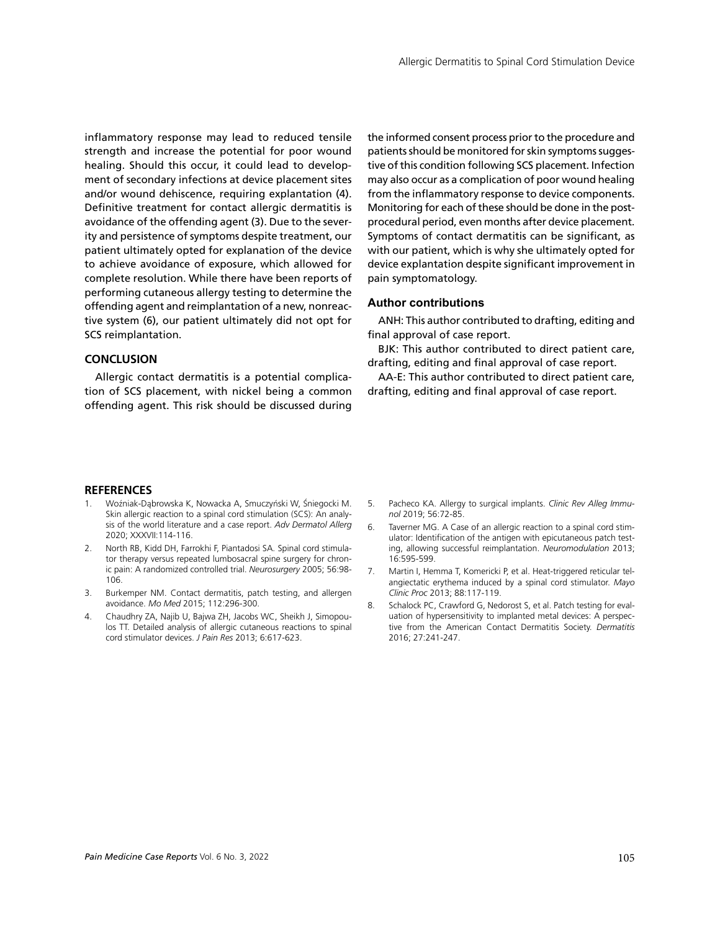inflammatory response may lead to reduced tensile strength and increase the potential for poor wound healing. Should this occur, it could lead to development of secondary infections at device placement sites and/or wound dehiscence, requiring explantation (4). Definitive treatment for contact allergic dermatitis is avoidance of the offending agent (3). Due to the severity and persistence of symptoms despite treatment, our patient ultimately opted for explanation of the device to achieve avoidance of exposure, which allowed for complete resolution. While there have been reports of performing cutaneous allergy testing to determine the offending agent and reimplantation of a new, nonreactive system (6), our patient ultimately did not opt for SCS reimplantation.

#### **CONCLUSION**

Allergic contact dermatitis is a potential complication of SCS placement, with nickel being a common offending agent. This risk should be discussed during the informed consent process prior to the procedure and patients should be monitored for skin symptoms suggestive of this condition following SCS placement. Infection may also occur as a complication of poor wound healing from the inflammatory response to device components. Monitoring for each of these should be done in the postprocedural period, even months after device placement. Symptoms of contact dermatitis can be significant, as with our patient, which is why she ultimately opted for device explantation despite significant improvement in pain symptomatology.

#### **Author contributions**

ANH: This author contributed to drafting, editing and final approval of case report.

BJK: This author contributed to direct patient care, drafting, editing and final approval of case report.

AA-E: This author contributed to direct patient care, drafting, editing and final approval of case report.

#### **REFERENCES**

- 1. Woźniak-Dąbrowska K, Nowacka A, Smuczyński W, Śniegocki M. Skin allergic reaction to a spinal cord stimulation (SCS): An analysis of the world literature and a case report. *Adv Dermatol Allerg* 2020; XXXVII:114-116.
- 2. North RB, Kidd DH, Farrokhi F, Piantadosi SA. Spinal cord stimulator therapy versus repeated lumbosacral spine surgery for chronic pain: A randomized controlled trial. *Neurosurgery* 2005; 56:98- 106.
- 3. Burkemper NM. Contact dermatitis, patch testing, and allergen avoidance. *Mo Med* 2015; 112:296-300.
- 4. Chaudhry ZA, Najib U, Bajwa ZH, Jacobs WC, Sheikh J, Simopoulos TT. Detailed analysis of allergic cutaneous reactions to spinal cord stimulator devices. *J Pain Res* 2013; 6:617-623.
- 5. Pacheco KA. Allergy to surgical implants. *Clinic Rev Alleg Immunol* 2019; 56:72-85.
- 6. Taverner MG. A Case of an allergic reaction to a spinal cord stimulator: Identification of the antigen with epicutaneous patch testing, allowing successful reimplantation. *Neuromodulation* 2013; 16:595-599.
- 7. Martin I, Hemma T, Komericki P, et al. Heat-triggered reticular telangiectatic erythema induced by a spinal cord stimulator. *Mayo Clinic Proc* 2013; 88:117-119.
- 8. Schalock PC, Crawford G, Nedorost S, et al. Patch testing for evaluation of hypersensitivity to implanted metal devices: A perspective from the American Contact Dermatitis Society. *Dermatitis* 2016; 27:241-247.